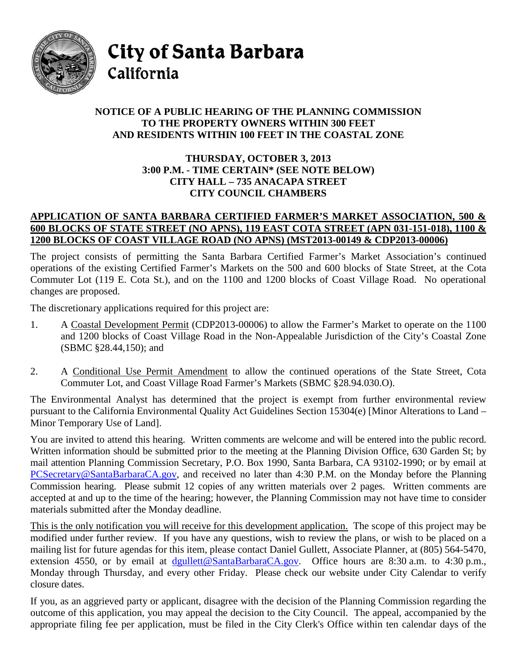

City of Santa Barbara California

## **NOTICE OF A PUBLIC HEARING OF THE PLANNING COMMISSION TO THE PROPERTY OWNERS WITHIN 300 FEET AND RESIDENTS WITHIN 100 FEET IN THE COASTAL ZONE**

## **THURSDAY, OCTOBER 3, 2013 3:00 P.M. - TIME CERTAIN\* (SEE NOTE BELOW) CITY HALL – 735 ANACAPA STREET CITY COUNCIL CHAMBERS**

## **APPLICATION OF SANTA BARBARA CERTIFIED FARMER'S MARKET ASSOCIATION, 500 & 600 BLOCKS OF STATE STREET (NO APNS), 119 EAST COTA STREET (APN 031-151-018), 1100 & 1200 BLOCKS OF COAST VILLAGE ROAD (NO APNS) (MST2013-00149 & CDP2013-00006)**

The project consists of permitting the Santa Barbara Certified Farmer's Market Association's continued operations of the existing Certified Farmer's Markets on the 500 and 600 blocks of State Street, at the Cota Commuter Lot (119 E. Cota St.), and on the 1100 and 1200 blocks of Coast Village Road. No operational changes are proposed.

The discretionary applications required for this project are:

- 1. A Coastal Development Permit (CDP2013-00006) to allow the Farmer's Market to operate on the 1100 and 1200 blocks of Coast Village Road in the Non-Appealable Jurisdiction of the City's Coastal Zone (SBMC §28.44,150); and
- 2. A Conditional Use Permit Amendment to allow the continued operations of the State Street, Cota Commuter Lot, and Coast Village Road Farmer's Markets (SBMC §28.94.030.O).

The Environmental Analyst has determined that the project is exempt from further environmental review pursuant to the California Environmental Quality Act Guidelines Section 15304(e) [Minor Alterations to Land – Minor Temporary Use of Land].

You are invited to attend this hearing. Written comments are welcome and will be entered into the public record. Written information should be submitted prior to the meeting at the Planning Division Office, 630 Garden St; by mail attention Planning Commission Secretary, P.O. Box 1990, Santa Barbara, CA 93102-1990; or by email at [PCSecretary@SantaBarbaraCA.gov,](mailto:PCSecretary@SantaBarbaraCA.gov) and received no later than 4:30 P.M. on the Monday before the Planning Commission hearing. Please submit 12 copies of any written materials over 2 pages. Written comments are accepted at and up to the time of the hearing; however, the Planning Commission may not have time to consider materials submitted after the Monday deadline.

This is the only notification you will receive for this development application. The scope of this project may be modified under further review. If you have any questions, wish to review the plans, or wish to be placed on a mailing list for future agendas for this item, please contact Daniel Gullett, Associate Planner, at (805) 564-5470, extension 4550, or by email at dgullett@SantaBarbaraCA.gov. Office hours are 8:30 a.m. to 4:30 p.m., Monday through Thursday, and every other Friday. Please check our website under City Calendar to verify closure dates.

If you, as an aggrieved party or applicant, disagree with the decision of the Planning Commission regarding the outcome of this application, you may appeal the decision to the City Council. The appeal, accompanied by the appropriate filing fee per application, must be filed in the City Clerk's Office within ten calendar days of the